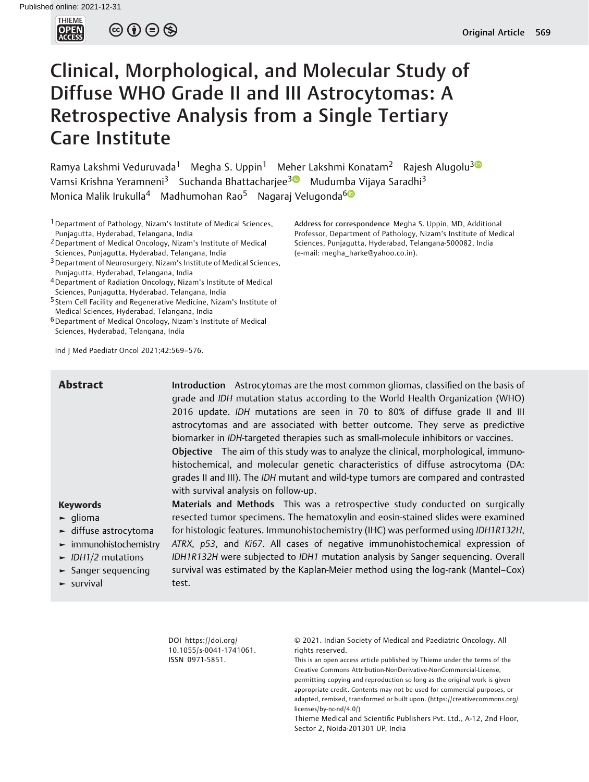

 $\circledcirc \circledcirc \circledcirc$ 

# Clinical, Morphological, and Molecular Study of Diffuse WHO Grade II and III Astrocytomas: A Retrospective Analysis from a Single Tertiary Care Institute

Ramya Lakshmi Veduruvada<sup>1</sup> Megha S. Uppin<sup>1</sup> Meher Lakshmi Konatam<sup>2</sup> Rajesh Alugolu<sup>30</sup> Vamsi Krishna Yeramneni<sup>[3](https://orcid.org/0000-0002-8394-6154)</sup> Suchanda Bhattacharjee<sup>30</sup> Mudumba Vijaya Saradhi<sup>3</sup> Monica Malik Irukulla<sup>4</sup> Madhumohan Rao<sup>5</sup> Nagaraj Velugonda<sup>60</sup>

<sup>1</sup> Department of Pathology, Nizam's Institute of Medical Sciences, Punjagutta, Hyderabad, Telangana, India

2Department of Medical Oncology, Nizam's Institute of Medical Sciences, Punjagutta, Hyderabad, Telangana, India

- 3Department of Neurosurgery, Nizam's Institute of Medical Sciences, Punjagutta, Hyderabad, Telangana, India
- 4Department of Radiation Oncology, Nizam's Institute of Medical Sciences, Punjagutta, Hyderabad, Telangana, India

5 Stem Cell Facility and Regenerative Medicine, Nizam's Institute of Medical Sciences, Hyderabad, Telangana, India

6Department of Medical Oncology, Nizam's Institute of Medical Sciences, Hyderabad, Telangana, India

Ind J Med Paediatr Oncol 2021;42:569–576.

Keywords ► glioma **Abstract Introduction** Astrocytomas are the most common gliomas, classified on the basis of grade and IDH mutation status according to the World Health Organization (WHO) 2016 update. IDH mutations are seen in 70 to 80% of diffuse grade II and III astrocytomas and are associated with better outcome. They serve as predictive biomarker in IDH-targeted therapies such as small-molecule inhibitors or vaccines. Objective The aim of this study was to analyze the clinical, morphological, immunohistochemical, and molecular genetic characteristics of diffuse astrocytoma (DA: grades II and III). The IDH mutant and wild-type tumors are compared and contrasted with survival analysis on follow-up. Materials and Methods This was a retrospective study conducted on surgically

- ► diffuse astrocytoma
- ► immunohistochemistry
- $\blacktriangleright$  IDH1/2 mutations
- ► Sanger sequencing
- ► survival

resected tumor specimens. The hematoxylin and eosin-stained slides were examined for histologic features. Immunohistochemistry (IHC) was performed using IDH1R132H, ATRX, p53, and Ki67. All cases of negative immunohistochemical expression of IDH1R132H were subjected to IDH1 mutation analysis by Sanger sequencing. Overall survival was estimated by the Kaplan-Meier method using the log-rank (Mantel–Cox) test.

DOI [https://doi.org/](https://doi.org/10.1055/s-0041-1741061) [10.1055/s-0041-1741061](https://doi.org/10.1055/s-0041-1741061). ISSN 0971-5851.

© 2021. Indian Society of Medical and Paediatric Oncology. All rights reserved.

This is an open access article published by Thieme under the terms of the Creative Commons Attribution-NonDerivative-NonCommercial-License, permitting copying and reproduction so long as the original work is given appropriate credit. Contents may not be used for commercial purposes, or adapted, remixed, transformed or built upon. (https://creativecommons.org/ licenses/by-nc-nd/4.0/)

Thieme Medical and Scientific Publishers Pvt. Ltd., A-12, 2nd Floor, Sector 2, Noida-201301 UP, India

Address for correspondence Megha S. Uppin, MD, Additional Professor, Department of Pathology, Nizam's Institute of Medical Sciences, Punjagutta, Hyderabad, Telangana-500082, India (e-mail: [megha\\_harke@yahoo.co.in](mailto:megha_harke@yahoo.co.in)).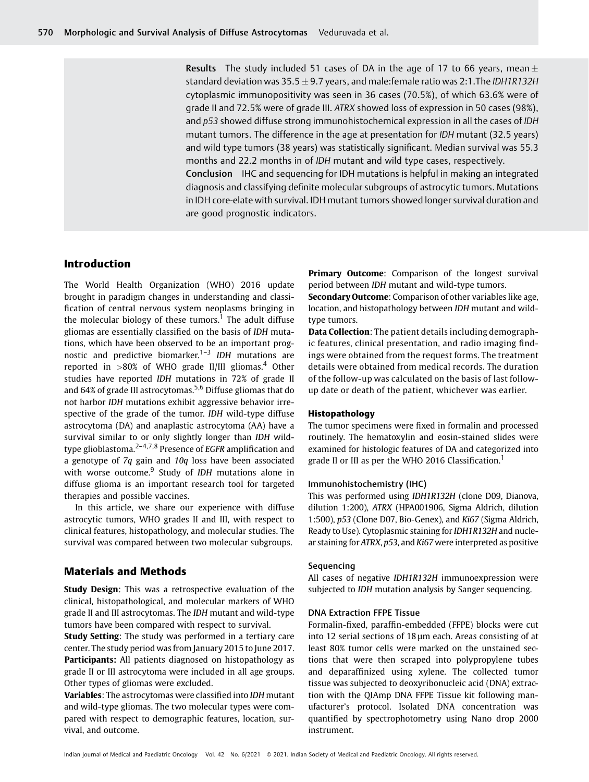Results The study included 51 cases of DA in the age of 17 to 66 years, mean  $\pm$ standard deviation was  $35.5 \pm 9.7$  years, and male:female ratio was 2:1. The IDH1R132H cytoplasmic immunopositivity was seen in 36 cases (70.5%), of which 63.6% were of grade II and 72.5% were of grade III. ATRX showed loss of expression in 50 cases (98%), and p53 showed diffuse strong immunohistochemical expression in all the cases of IDH mutant tumors. The difference in the age at presentation for IDH mutant (32.5 years) and wild type tumors (38 years) was statistically significant. Median survival was 55.3 months and 22.2 months in of IDH mutant and wild type cases, respectively. Conclusion IHC and sequencing for IDH mutations is helpful in making an integrated diagnosis and classifying definite molecular subgroups of astrocytic tumors. Mutations in IDH core-elate with survival. IDH mutant tumors showed longer survival duration and are good prognostic indicators.

# Introduction

The World Health Organization (WHO) 2016 update brought in paradigm changes in understanding and classification of central nervous system neoplasms bringing in the molecular biology of these tumors.<sup>1</sup> The adult diffuse gliomas are essentially classified on the basis of IDH mutations, which have been observed to be an important prognostic and predictive biomarker. $1-3$  IDH mutations are reported in  $>80\%$  of WHO grade II/III gliomas.<sup>4</sup> Other studies have reported IDH mutations in 72% of grade II and 64% of grade III astrocytomas.<sup>5,6</sup> Diffuse gliomas that do not harbor IDH mutations exhibit aggressive behavior irrespective of the grade of the tumor. IDH wild-type diffuse astrocytoma (DA) and anaplastic astrocytoma (AA) have a survival similar to or only slightly longer than IDH wildtype glioblastoma.<sup>2-4,7,8</sup> Presence of *EGFR* amplification and a genotype of 7q gain and 10q loss have been associated with worse outcome. $9$  Study of IDH mutations alone in diffuse glioma is an important research tool for targeted therapies and possible vaccines.

In this article, we share our experience with diffuse astrocytic tumors, WHO grades II and III, with respect to clinical features, histopathology, and molecular studies. The survival was compared between two molecular subgroups.

# Materials and Methods

**Study Design:** This was a retrospective evaluation of the clinical, histopathological, and molecular markers of WHO grade II and III astrocytomas. The IDH mutant and wild-type tumors have been compared with respect to survival.

**Study Setting:** The study was performed in a tertiary care center. The study period was from January 2015 to June 2017. Participants: All patients diagnosed on histopathology as grade II or III astrocytoma were included in all age groups. Other types of gliomas were excluded.

Variables: The astrocytomas were classified into IDH mutant and wild-type gliomas. The two molecular types were compared with respect to demographic features, location, survival, and outcome.

Primary Outcome: Comparison of the longest survival period between IDH mutant and wild-type tumors.

Secondary Outcome: Comparison of other variables like age, location, and histopathology between IDH mutant and wildtype tumors.

Data Collection: The patient details including demographic features, clinical presentation, and radio imaging findings were obtained from the request forms. The treatment details were obtained from medical records. The duration of the follow-up was calculated on the basis of last followup date or death of the patient, whichever was earlier.

### Histopathology

The tumor specimens were fixed in formalin and processed routinely. The hematoxylin and eosin-stained slides were examined for histologic features of DA and categorized into grade II or III as per the WHO 2016 Classification.<sup>1</sup>

#### Immunohistochemistry (IHC)

This was performed using IDH1R132H (clone D09, Dianova, dilution 1:200), ATRX (HPA001906, Sigma Aldrich, dilution 1:500), p53 (Clone D07, Bio-Genex), and Ki67 (Sigma Aldrich, Ready to Use). Cytoplasmic staining for IDH1R132H and nuclear staining for ATRX, p53, and Ki67 were interpreted as positive

### **Sequencing**

All cases of negative IDH1R132H immunoexpression were subjected to IDH mutation analysis by Sanger sequencing.

## DNA Extraction FFPE Tissue

Formalin-fixed, paraffin-embedded (FFPE) blocks were cut into 12 serial sections of 18 µm each. Areas consisting of at least 80% tumor cells were marked on the unstained sections that were then scraped into polypropylene tubes and deparaffinized using xylene. The collected tumor tissue was subjected to deoxyribonucleic acid (DNA) extraction with the QIAmp DNA FFPE Tissue kit following manufacturer's protocol. Isolated DNA concentration was quantified by spectrophotometry using Nano drop 2000 instrument.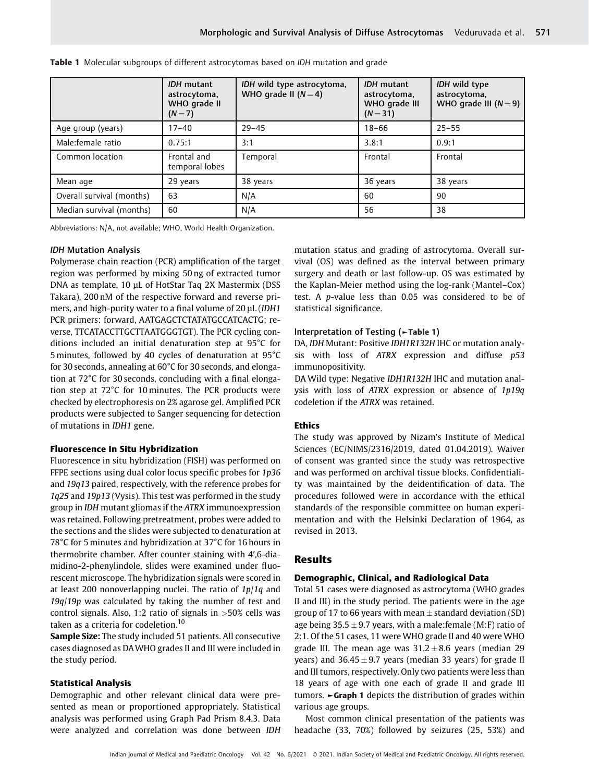|                           | <b>IDH</b> mutant<br>astrocytoma,<br>WHO grade II<br>$(N=7)$ | IDH wild type astrocytoma,<br>WHO grade II $(N=4)$ | <b>IDH</b> mutant<br>astrocytoma,<br>WHO grade III<br>$(N = 31)$ | IDH wild type<br>astrocytoma,<br>WHO grade III $(N=9)$ |
|---------------------------|--------------------------------------------------------------|----------------------------------------------------|------------------------------------------------------------------|--------------------------------------------------------|
| Age group (years)         | $17 - 40$                                                    | $29 - 45$                                          | $18 - 66$                                                        | $25 - 55$                                              |
| Male:female ratio         | 0.75:1                                                       | 3:1                                                | 3.8:1                                                            | 0.9:1                                                  |
| Common location           | Frontal and<br>temporal lobes                                | Temporal                                           | Frontal                                                          | Frontal                                                |
| Mean age                  | 29 years                                                     | 38 years                                           | 36 years                                                         | 38 years                                               |
| Overall survival (months) | 63                                                           | N/A                                                | 60                                                               | 90                                                     |
| Median survival (months)  | 60                                                           | N/A                                                | 56                                                               | 38                                                     |

**Table 1** Molecular subgroups of different astrocytomas based on *IDH* mutation and grade

Abbreviations: N/A, not available; WHO, World Health Organization.

#### IDH Mutation Analysis

Polymerase chain reaction (PCR) amplification of the target region was performed by mixing 50 ng of extracted tumor DNA as template, 10 μL of HotStar Taq 2X Mastermix (DSS Takara), 200 nM of the respective forward and reverse primers, and high-purity water to a final volume of 20 μL (IDH1 PCR primers: forward, AATGAGCTCTATATGCCATCACTG; reverse, TTCATACCTTGCTTAATGGGTGT). The PCR cycling conditions included an initial denaturation step at 95°C for 5 minutes, followed by 40 cycles of denaturation at 95°C for 30 seconds, annealing at 60°C for 30 seconds, and elongation at 72°C for 30 seconds, concluding with a final elongation step at 72°C for 10 minutes. The PCR products were checked by electrophoresis on 2% agarose gel. Amplified PCR products were subjected to Sanger sequencing for detection of mutations in IDH1 gene.

## Fluorescence In Situ Hybridization

Fluorescence in situ hybridization (FISH) was performed on FFPE sections using dual color locus specific probes for 1p36 and 19q13 paired, respectively, with the reference probes for 1q25 and 19p13 (Vysis). This test was performed in the study group in IDH mutant gliomas if the ATRX immunoexpression was retained. Following pretreatment, probes were added to the sections and the slides were subjected to denaturation at 78°C for 5 minutes and hybridization at 37°C for 16 hours in thermobrite chamber. After counter staining with 4′,6-diamidino-2-phenylindole, slides were examined under fluorescent microscope. The hybridization signals were scored in at least 200 nonoverlapping nuclei. The ratio of 1p/1q and 19q/19p was calculated by taking the number of test and control signals. Also, 1:2 ratio of signals in  $>50\%$  cells was taken as a criteria for codeletion.<sup>10</sup>

Sample Size: The study included 51 patients. All consecutive cases diagnosed as DAWHO grades II and III were included in the study period.

## Statistical Analysis

Demographic and other relevant clinical data were presented as mean or proportioned appropriately. Statistical analysis was performed using Graph Pad Prism 8.4.3. Data were analyzed and correlation was done between IDH mutation status and grading of astrocytoma. Overall survival (OS) was defined as the interval between primary surgery and death or last follow-up. OS was estimated by the Kaplan-Meier method using the log-rank (Mantel–Cox) test. A p-value less than 0.05 was considered to be of statistical significance.

# Interpretation of Testing (►Table 1)

DA, IDH Mutant: Positive IDH1R132H IHC or mutation analysis with loss of ATRX expression and diffuse p53 immunopositivity.

DA Wild type: Negative IDH1R132H IHC and mutation analysis with loss of ATRX expression or absence of 1p19q codeletion if the ATRX was retained.

## Ethics

The study was approved by Nizam's Institute of Medical Sciences (EC/NIMS/2316/2019, dated 01.04.2019). Waiver of consent was granted since the study was retrospective and was performed on archival tissue blocks. Confidentiality was maintained by the deidentification of data. The procedures followed were in accordance with the ethical standards of the responsible committee on human experimentation and with the Helsinki Declaration of 1964, as revised in 2013.

# Results

## Demographic, Clinical, and Radiological Data

Total 51 cases were diagnosed as astrocytoma (WHO grades II and III) in the study period. The patients were in the age group of 17 to 66 years with mean  $\pm$  standard deviation (SD) age being  $35.5 \pm 9.7$  years, with a male: female (M:F) ratio of 2:1. Of the 51 cases, 11 were WHO grade II and 40 were WHO grade III. The mean age was  $31.2 \pm 8.6$  years (median 29 years) and  $36.45 \pm 9.7$  years (median 33 years) for grade II and III tumors, respectively. Only two patients were less than 18 years of age with one each of grade II and grade III tumors. ►Graph 1 depicts the distribution of grades within various age groups.

Most common clinical presentation of the patients was headache (33, 70%) followed by seizures (25, 53%) and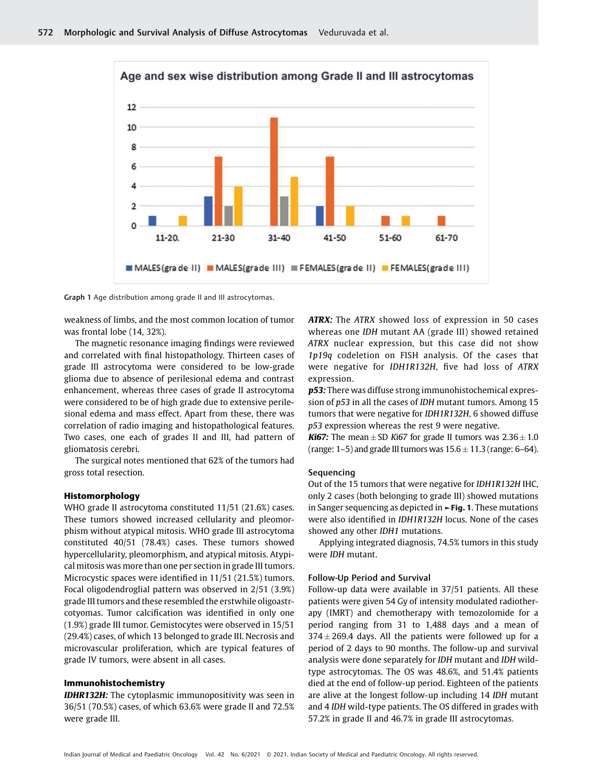

Graph 1 Age distribution among grade II and III astrocytomas.

weakness of limbs, and the most common location of tumor was frontal lobe (14, 32%).

The magnetic resonance imaging findings were reviewed and correlated with final histopathology. Thirteen cases of grade III astrocytoma were considered to be low-grade glioma due to absence of perilesional edema and contrast enhancement, whereas three cases of grade II astrocytoma were considered to be of high grade due to extensive perilesional edema and mass effect. Apart from these, there was correlation of radio imaging and histopathological features. Two cases, one each of grades II and III, had pattern of gliomatosis cerebri.

The surgical notes mentioned that 62% of the tumors had gross total resection.

# Histomorphology

WHO grade II astrocytoma constituted 11/51 (21.6%) cases. These tumors showed increased cellularity and pleomorphism without atypical mitosis. WHO grade III astrocytoma constituted 40/51 (78.4%) cases. These tumors showed hypercellularity, pleomorphism, and atypical mitosis. Atypical mitosis was more than one per section in grade III tumors. Microcystic spaces were identified in 11/51 (21.5%) tumors. Focal oligodendroglial pattern was observed in 2/51 (3.9%) grade III tumors and these resembled the erstwhile oligoastrcotyomas. Tumor calcification was identified in only one (1.9%) grade III tumor. Gemistocytes were observed in 15/51 (29.4%) cases, of which 13 belonged to grade III. Necrosis and microvascular proliferation, which are typical features of grade IV tumors, were absent in all cases.

#### Immunohistochemistry

**IDHR132H:** The cytoplasmic immunopositivity was seen in 36/51 (70.5%) cases, of which 63.6% were grade II and 72.5% were grade III.

ATRX: The ATRX showed loss of expression in 50 cases whereas one IDH mutant AA (grade III) showed retained ATRX nuclear expression, but this case did not show 1p19q codeletion on FISH analysis. Of the cases that were negative for IDH1R132H, five had loss of ATRX expression.

p53: There was diffuse strong immunohistochemical expression of p53 in all the cases of IDH mutant tumors. Among 15 tumors that were negative for IDH1R132H, 6 showed diffuse p53 expression whereas the rest 9 were negative.

**Ki67:** The mean  $\pm$  SD Ki67 for grade II tumors was  $2.36 \pm 1.0$ (range: 1–5) and grade III tumors was  $15.6 \pm 11.3$  (range: 6–64).

# Sequencing

Out of the 15 tumors that were negative for IDH1R132H IHC, only 2 cases (both belonging to grade III) showed mutations in Sanger sequencing as depicted in  $\blacktriangleright$  Fig. 1. These mutations were also identified in IDH1R132H locus. None of the cases showed any other IDH1 mutations.

Applying integrated diagnosis, 74.5% tumors in this study were IDH mutant.

#### Follow-Up Period and Survival

Follow-up data were available in 37/51 patients. All these patients were given 54 Gy of intensity modulated radiotherapy (IMRT) and chemotherapy with temozolomide for a period ranging from 31 to 1,488 days and a mean of  $374 \pm 269.4$  days. All the patients were followed up for a period of 2 days to 90 months. The follow-up and survival analysis were done separately for IDH mutant and IDH wildtype astrocytomas. The OS was 48.6%, and 51.4% patients died at the end of follow-up period. Eighteen of the patients are alive at the longest follow-up including 14 IDH mutant and 4 IDH wild-type patients. The OS differed in grades with 57.2% in grade II and 46.7% in grade III astrocytomas.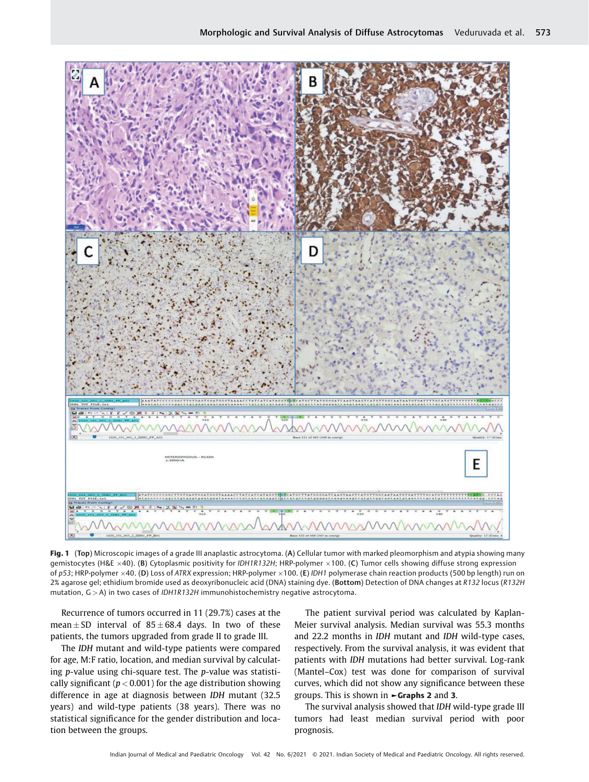

Fig. 1 (Top) Microscopic images of a grade III anaplastic astrocytoma. (A) Cellular tumor with marked pleomorphism and atypia showing many gemistocytes (H&E  $\times$ 40). (B) Cytoplasmic positivity for IDH1R132H; HRP-polymer  $\times$ 100. (C) Tumor cells showing diffuse strong expression of p53; HRP-polymer ×40. (D) Loss of ATRX expression; HRP-polymer ×100. (E) IDH1 polymerase chain reaction products (500 bp length) run on 2% agarose gel; ethidium bromide used as deoxyribonucleic acid (DNA) staining dye. (Bottom) Detection of DNA changes at R132 locus (R132H mutation,  $G > A$ ) in two cases of IDH1R132H immunohistochemistry negative astrocytoma.

Recurrence of tumors occurred in 11 (29.7%) cases at the mean  $\pm$  SD interval of 85  $\pm$  68.4 days. In two of these patients, the tumors upgraded from grade II to grade III.

The IDH mutant and wild-type patients were compared for age, M:F ratio, location, and median survival by calculating p-value using chi-square test. The p-value was statistically significant ( $p < 0.001$ ) for the age distribution showing difference in age at diagnosis between IDH mutant (32.5 years) and wild-type patients (38 years). There was no statistical significance for the gender distribution and location between the groups.

The patient survival period was calculated by Kaplan-Meier survival analysis. Median survival was 55.3 months and 22.2 months in IDH mutant and IDH wild-type cases, respectively. From the survival analysis, it was evident that patients with IDH mutations had better survival. Log-rank (Mantel–Cox) test was done for comparison of survival curves, which did not show any significance between these groups. This is shown in ►Graphs 2 and 3.

The survival analysis showed that IDH wild-type grade III tumors had least median survival period with poor prognosis.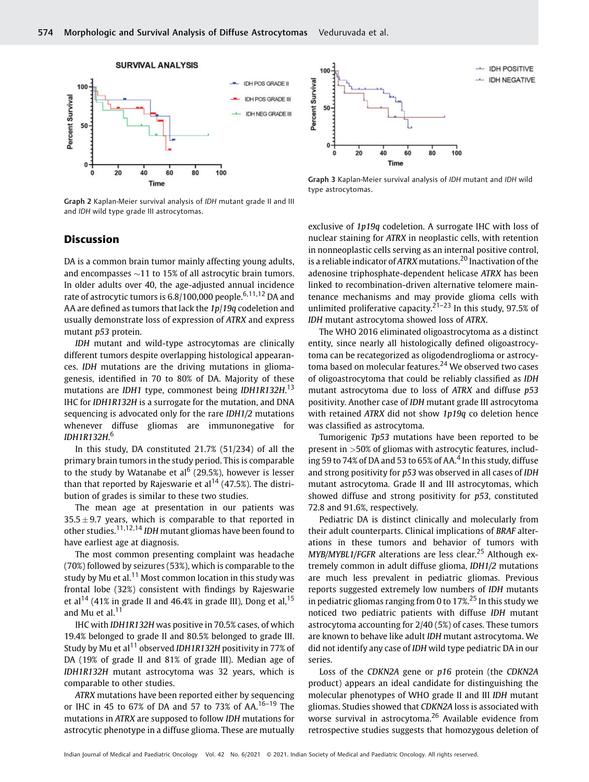

Graph 2 Kaplan-Meier survival analysis of IDH mutant grade II and III and IDH wild type grade III astrocytomas.



Graph 3 Kaplan-Meier survival analysis of IDH mutant and IDH wild type astrocytomas.

# **Discussion**

DA is a common brain tumor mainly affecting young adults, and encompasses  $\sim$ 11 to 15% of all astrocytic brain tumors. In older adults over 40, the age-adjusted annual incidence rate of astrocytic tumors is 6.8/100,000 people.<sup>6,11,12</sup> DA and AA are defined as tumors that lack the 1p/19q codeletion and usually demonstrate loss of expression of ATRX and express mutant p53 protein.

IDH mutant and wild-type astrocytomas are clinically different tumors despite overlapping histological appearances. IDH mutations are the driving mutations in gliomagenesis, identified in 70 to 80% of DA. Majority of these mutations are IDH1 type, commonest being IDH1R132H.<sup>13</sup> IHC for IDH1R132H is a surrogate for the mutation, and DNA sequencing is advocated only for the rare IDH1/2 mutations whenever diffuse gliomas are immunonegative for IDH1R132H.<sup>6</sup>

In this study, DA constituted 21.7% (51/234) of all the primary brain tumors in the study period. This is comparable to the study by Watanabe et al<sup>6</sup> (29.5%), however is lesser than that reported by Rajeswarie et al<sup>14</sup> (47.5%). The distribution of grades is similar to these two studies.

The mean age at presentation in our patients was  $35.5 \pm 9.7$  years, which is comparable to that reported in other studies.11,12,14 IDH mutant gliomas have been found to have earliest age at diagnosis.

The most common presenting complaint was headache (70%) followed by seizures (53%), which is comparable to the study by Mu et al.<sup>11</sup> Most common location in this study was frontal lobe (32%) consistent with findings by Rajeswarie et al<sup>14</sup> (41% in grade II and 46.4% in grade III), Dong et al,  $15$ and Mu et al. $11$ 

IHC with IDH1R132H was positive in 70.5% cases, of which 19.4% belonged to grade II and 80.5% belonged to grade III. Study by Mu et al<sup>11</sup> observed *IDH1R132H* positivity in 77% of DA (19% of grade II and 81% of grade III). Median age of IDH1R132H mutant astrocytoma was 32 years, which is comparable to other studies.

ATRX mutations have been reported either by sequencing or IHC in 45 to 67% of DA and 57 to 73% of AA.16–<sup>19</sup> The mutations in ATRX are supposed to follow IDH mutations for astrocytic phenotype in a diffuse glioma. These are mutually

exclusive of 1p19q codeletion. A surrogate IHC with loss of nuclear staining for ATRX in neoplastic cells, with retention in nonneoplastic cells serving as an internal positive control, is a reliable indicator of ATRX mutations.<sup>20</sup> Inactivation of the adenosine triphosphate-dependent helicase ATRX has been linked to recombination-driven alternative telomere maintenance mechanisms and may provide glioma cells with unlimited proliferative capacity.<sup>21–23</sup> In this study, 97.5% of IDH mutant astrocytoma showed loss of ATRX.

The WHO 2016 eliminated oligoastrocytoma as a distinct entity, since nearly all histologically defined oligoastrocytoma can be recategorized as oligodendroglioma or astrocytoma based on molecular features.<sup>24</sup> We observed two cases of oligoastrocytoma that could be reliably classified as IDH mutant astrocytoma due to loss of ATRX and diffuse p53 positivity. Another case of IDH mutant grade III astrocytoma with retained ATRX did not show 1p19q co deletion hence was classified as astrocytoma.

Tumorigenic Tp53 mutations have been reported to be present in >50% of gliomas with astrocytic features, including 59 to 74% of DA and 53 to 65% of AA.<sup>4</sup> In this study, diffuse and strong positivity for p53 was observed in all cases of IDH mutant astrocytoma. Grade II and III astrocytomas, which showed diffuse and strong positivity for p53, constituted 72.8 and 91.6%, respectively.

Pediatric DA is distinct clinically and molecularly from their adult counterparts. Clinical implications of BRAF alterations in these tumors and behavior of tumors with  $MYB/MYBL1/FGFR$  alterations are less clear.<sup>25</sup> Although extremely common in adult diffuse glioma, IDH1/2 mutations are much less prevalent in pediatric gliomas. Previous reports suggested extremely low numbers of IDH mutants in pediatric gliomas ranging from 0 to  $17\frac{25}{10}$  In this study we noticed two pediatric patients with diffuse IDH mutant astrocytoma accounting for 2/40 (5%) of cases. These tumors are known to behave like adult IDH mutant astrocytoma. We did not identify any case of IDH wild type pediatric DA in our series.

Loss of the CDKN2A gene or p16 protein (the CDKN2A product) appears an ideal candidate for distinguishing the molecular phenotypes of WHO grade II and III IDH mutant gliomas. Studies showed that CDKN2A loss is associated with worse survival in astrocytoma.<sup>26</sup> Available evidence from retrospective studies suggests that homozygous deletion of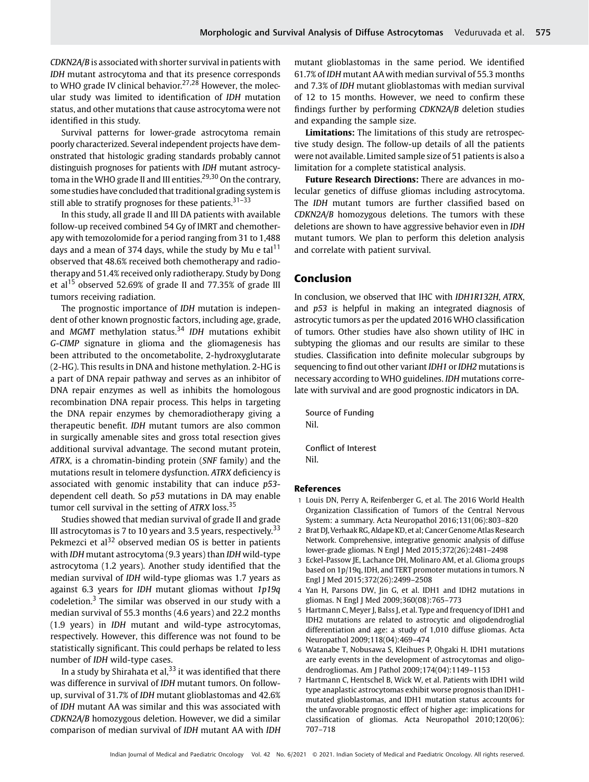CDKN2A/B is associated with shorter survival in patients with IDH mutant astrocytoma and that its presence corresponds to WHO grade IV clinical behavior.<sup>27,28</sup> However, the molecular study was limited to identification of IDH mutation status, and other mutations that cause astrocytoma were not identified in this study.

Survival patterns for lower-grade astrocytoma remain poorly characterized. Several independent projects have demonstrated that histologic grading standards probably cannot distinguish prognoses for patients with IDH mutant astrocytoma in the WHO grade II and III entities.29,30 On the contrary, some studies have concluded that traditional grading systemis still able to stratify prognoses for these patients.<sup>31-33</sup>

In this study, all grade II and III DA patients with available follow-up received combined 54 Gy of IMRT and chemotherapy with temozolomide for a period ranging from 31 to 1,488 days and a mean of 374 days, while the study by Mu e tal<sup>11</sup> observed that 48.6% received both chemotherapy and radiotherapy and 51.4% received only radiotherapy. Study by Dong et al<sup>15</sup> observed 52.69% of grade II and 77.35% of grade III tumors receiving radiation.

The prognostic importance of IDH mutation is independent of other known prognostic factors, including age, grade, and MGMT methylation status.<sup>34</sup> IDH mutations exhibit G-CIMP signature in glioma and the gliomagenesis has been attributed to the oncometabolite, 2-hydroxyglutarate (2-HG). This results in DNA and histone methylation. 2-HG is a part of DNA repair pathway and serves as an inhibitor of DNA repair enzymes as well as inhibits the homologous recombination DNA repair process. This helps in targeting the DNA repair enzymes by chemoradiotherapy giving a therapeutic benefit. IDH mutant tumors are also common in surgically amenable sites and gross total resection gives additional survival advantage. The second mutant protein, ATRX, is a chromatin-binding protein (SNF family) and the mutations result in telomere dysfunction. ATRX deficiency is associated with genomic instability that can induce p53 dependent cell death. So p53 mutations in DA may enable tumor cell survival in the setting of  $ATRX$  loss.<sup>35</sup>

Studies showed that median survival of grade II and grade III astrocytomas is 7 to 10 years and 3.5 years, respectively.<sup>33</sup> Pekmezci et al<sup>32</sup> observed median OS is better in patients with IDH mutant astrocytoma (9.3 years) than IDH wild-type astrocytoma (1.2 years). Another study identified that the median survival of IDH wild-type gliomas was 1.7 years as against 6.3 years for IDH mutant gliomas without 1p19q codeletion.<sup>3</sup> The similar was observed in our study with a median survival of 55.3 months (4.6 years) and 22.2 months (1.9 years) in IDH mutant and wild-type astrocytomas, respectively. However, this difference was not found to be statistically significant. This could perhaps be related to less number of IDH wild-type cases.

In a study by Shirahata et al,  $33$  it was identified that there was difference in survival of IDH mutant tumors. On followup, survival of 31.7% of IDH mutant glioblastomas and 42.6% of IDH mutant AA was similar and this was associated with CDKN2A/B homozygous deletion. However, we did a similar comparison of median survival of IDH mutant AA with IDH mutant glioblastomas in the same period. We identified 61.7% of IDH mutant AA with median survival of 55.3 months and 7.3% of IDH mutant glioblastomas with median survival of 12 to 15 months. However, we need to confirm these findings further by performing CDKN2A/B deletion studies and expanding the sample size.

Limitations: The limitations of this study are retrospective study design. The follow-up details of all the patients were not available. Limited sample size of 51 patients is also a limitation for a complete statistical analysis.

Future Research Directions: There are advances in molecular genetics of diffuse gliomas including astrocytoma. The IDH mutant tumors are further classified based on CDKN2A/B homozygous deletions. The tumors with these deletions are shown to have aggressive behavior even in IDH mutant tumors. We plan to perform this deletion analysis and correlate with patient survival.

# Conclusion

In conclusion, we observed that IHC with IDH1R132H, ATRX, and p53 is helpful in making an integrated diagnosis of astrocytic tumors as per the updated 2016 WHO classification of tumors. Other studies have also shown utility of IHC in subtyping the gliomas and our results are similar to these studies. Classification into definite molecular subgroups by sequencing to find out other variant IDH1 or IDH2 mutations is necessary according to WHO guidelines. IDH mutations correlate with survival and are good prognostic indicators in DA.

Source of Funding Nil.

Conflict of Interest Nil.

#### References

- 1 Louis DN, Perry A, Reifenberger G, et al. The 2016 World Health Organization Classification of Tumors of the Central Nervous System: a summary. Acta Neuropathol 2016;131(06):803–820
- 2 Brat DJ, Verhaak RG, Aldape KD, et al; Cancer Genome Atlas Research Network. Comprehensive, integrative genomic analysis of diffuse lower-grade gliomas. N Engl J Med 2015;372(26):2481–2498
- 3 Eckel-Passow JE, Lachance DH, Molinaro AM, et al. Glioma groups based on 1p/19q, IDH, and TERT promoter mutations in tumors. N Engl J Med 2015;372(26):2499–2508
- 4 Yan H, Parsons DW, Jin G, et al. IDH1 and IDH2 mutations in gliomas. N Engl J Med 2009;360(08):765–773
- 5 Hartmann C, Meyer J, Balss J, et al. Type and frequency of IDH1 and IDH2 mutations are related to astrocytic and oligodendroglial differentiation and age: a study of 1,010 diffuse gliomas. Acta Neuropathol 2009;118(04):469–474
- 6 Watanabe T, Nobusawa S, Kleihues P, Ohgaki H. IDH1 mutations are early events in the development of astrocytomas and oligodendrogliomas. Am J Pathol 2009;174(04):1149–1153
- 7 Hartmann C, Hentschel B, Wick W, et al. Patients with IDH1 wild type anaplastic astrocytomas exhibit worse prognosis than IDH1 mutated glioblastomas, and IDH1 mutation status accounts for the unfavorable prognostic effect of higher age: implications for classification of gliomas. Acta Neuropathol 2010;120(06): 707–718